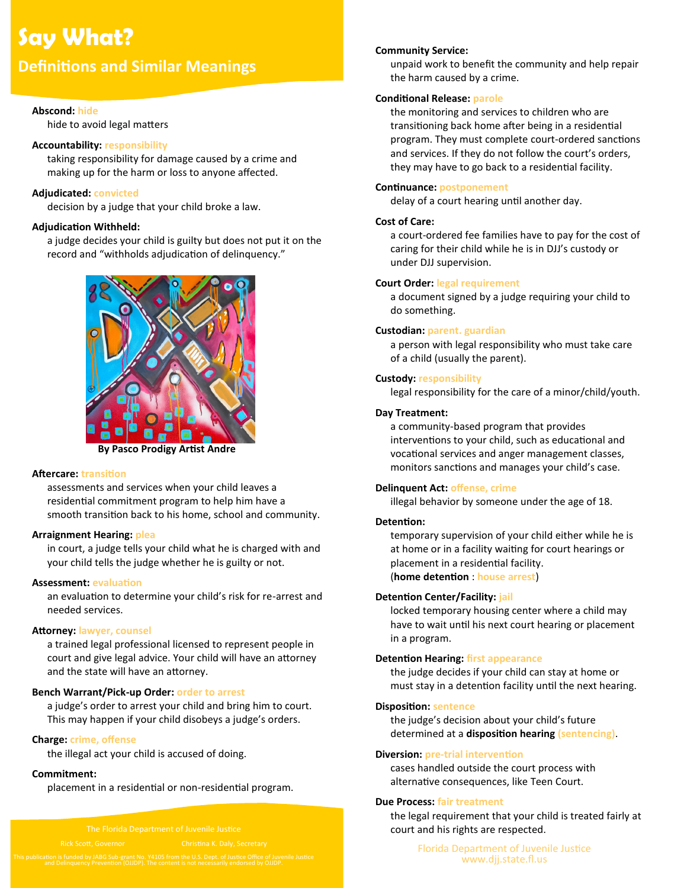# **Say What?**

# **Definitions and Similar Meanings**

# **Abscond: hide**

hide to avoid legal matters

# **Accountability: responsibility**

taking responsibility for damage caused by a crime and making up for the harm or loss to anyone affected.

# **Adjudicated: convicted**

decision by a judge that your child broke a law.

# **Adjudication Withheld:**

a judge decides your child is guilty but does not put it on the record and "withholds adjudication of delinquency."



**By Pasco Prodigy Artist Andre**

# **Aftercare: transition**

assessments and services when your child leaves a residential commitment program to help him have a smooth transition back to his home, school and community.

# **Arraignment Hearing: plea**

in court, a judge tells your child what he is charged with and your child tells the judge whether he is guilty or not.

#### **Assessment: evaluation**

an evaluation to determine your child's risk for re-arrest and needed services.

#### **Attorney: lawyer, counsel**

a trained legal professional licensed to represent people in court and give legal advice. Your child will have an attorney and the state will have an attorney.

#### **Bench Warrant/Pick-up Order: order to arrest**

a judge's order to arrest your child and bring him to court. This may happen if your child disobeys a judge's orders.

# **Charge: crime, offense**

the illegal act your child is accused of doing.

#### **Commitment:**

placement in a residential or non-residential program.

#### **Community Service:**

unpaid work to benefit the community and help repair the harm caused by a crime.

# **Conditional Release: parole**

the monitoring and services to children who are transitioning back home after being in a residential program. They must complete court-ordered sanctions and services. If they do not follow the court's orders, they may have to go back to a residential facility.

# **Continuance: postponement**

delay of a court hearing until another day.

# **Cost of Care:**

a court-ordered fee families have to pay for the cost of caring for their child while he is in DJJ's custody or under DJJ supervision.

# **Court Order: legal requirement**

a document signed by a judge requiring your child to do something.

# **Custodian: parent. guardian**

a person with legal responsibility who must take care of a child (usually the parent).

# **Custody: responsibility**

legal responsibility for the care of a minor/child/youth.

# **Day Treatment:**

a community-based program that provides interventions to your child, such as educational and vocational services and anger management classes, monitors sanctions and manages your child's case.

#### **Delinquent Act: offense, crime**

illegal behavior by someone under the age of 18.

#### **Detention:**

temporary supervision of your child either while he is at home or in a facility waiting for court hearings or placement in a residential facility. (**home detention** : **house arrest**)

#### **Detention Center/Facility: jail**

locked temporary housing center where a child may have to wait until his next court hearing or placement in a program.

#### **Detention Hearing: first appearance**

the judge decides if your child can stay at home or must stay in a detention facility until the next hearing.

#### **Disposition: sentence**

the judge's decision about your child's future determined at a **disposition hearing (sentencing)**.

#### **Diversion: pre-trial intervention**

cases handled outside the court process with alternative consequences, like Teen Court.

# **Due Process: fair treatment**

the legal requirement that your child is treated fairly at court and his rights are respected.